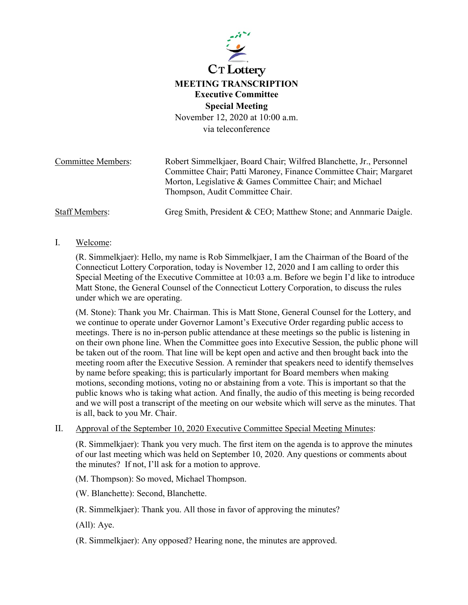

# **MEETING TRANSCRIPTION Executive Committee Special Meeting**

November 12, 2020 at 10:00 a.m. via teleconference

| <b>Committee Members:</b> | Robert Simmelkjaer, Board Chair; Wilfred Blanchette, Jr., Personnel                          |
|---------------------------|----------------------------------------------------------------------------------------------|
|                           | Committee Chair; Patti Maroney, Finance Committee Chair; Margaret                            |
|                           | Morton, Legislative & Games Committee Chair; and Michael<br>Thompson, Audit Committee Chair. |
| <b>Staff Members:</b>     | Greg Smith, President & CEO; Matthew Stone; and Annmarie Daigle.                             |

## I. Welcome:

(R. Simmelkjaer): Hello, my name is Rob Simmelkjaer, I am the Chairman of the Board of the Connecticut Lottery Corporation, today is November 12, 2020 and I am calling to order this Special Meeting of the Executive Committee at 10:03 a.m. Before we begin I'd like to introduce Matt Stone, the General Counsel of the Connecticut Lottery Corporation, to discuss the rules under which we are operating.

(M. Stone): Thank you Mr. Chairman. This is Matt Stone, General Counsel for the Lottery, and we continue to operate under Governor Lamont's Executive Order regarding public access to meetings. There is no in-person public attendance at these meetings so the public is listening in on their own phone line. When the Committee goes into Executive Session, the public phone will be taken out of the room. That line will be kept open and active and then brought back into the meeting room after the Executive Session. A reminder that speakers need to identify themselves by name before speaking; this is particularly important for Board members when making motions, seconding motions, voting no or abstaining from a vote. This is important so that the public knows who is taking what action. And finally, the audio of this meeting is being recorded and we will post a transcript of the meeting on our website which will serve as the minutes. That is all, back to you Mr. Chair.

II. Approval of the September 10, 2020 Executive Committee Special Meeting Minutes:

(R. Simmelkjaer): Thank you very much. The first item on the agenda is to approve the minutes of our last meeting which was held on September 10, 2020. Any questions or comments about the minutes? If not, I'll ask for a motion to approve.

(M. Thompson): So moved, Michael Thompson.

(W. Blanchette): Second, Blanchette.

(R. Simmelkjaer): Thank you. All those in favor of approving the minutes?

(All): Aye.

(R. Simmelkjaer): Any opposed? Hearing none, the minutes are approved.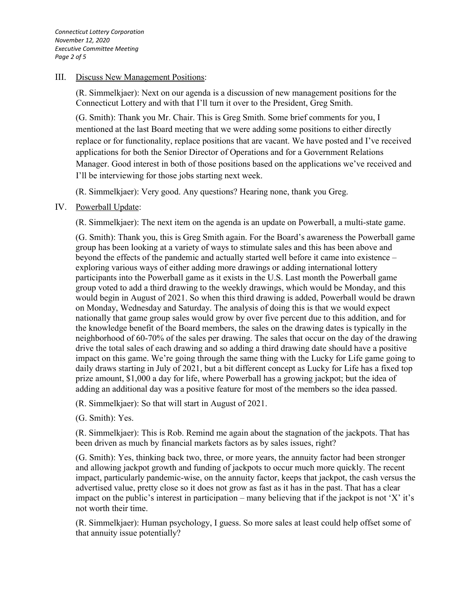## III. Discuss New Management Positions:

(R. Simmelkjaer): Next on our agenda is a discussion of new management positions for the Connecticut Lottery and with that I'll turn it over to the President, Greg Smith.

(G. Smith): Thank you Mr. Chair. This is Greg Smith. Some brief comments for you, I mentioned at the last Board meeting that we were adding some positions to either directly replace or for functionality, replace positions that are vacant. We have posted and I've received applications for both the Senior Director of Operations and for a Government Relations Manager. Good interest in both of those positions based on the applications we've received and I'll be interviewing for those jobs starting next week.

(R. Simmelkjaer): Very good. Any questions? Hearing none, thank you Greg.

## IV. Powerball Update:

(R. Simmelkjaer): The next item on the agenda is an update on Powerball, a multi-state game.

(G. Smith): Thank you, this is Greg Smith again. For the Board's awareness the Powerball game group has been looking at a variety of ways to stimulate sales and this has been above and beyond the effects of the pandemic and actually started well before it came into existence – exploring various ways of either adding more drawings or adding international lottery participants into the Powerball game as it exists in the U.S. Last month the Powerball game group voted to add a third drawing to the weekly drawings, which would be Monday, and this would begin in August of 2021. So when this third drawing is added, Powerball would be drawn on Monday, Wednesday and Saturday. The analysis of doing this is that we would expect nationally that game group sales would grow by over five percent due to this addition, and for the knowledge benefit of the Board members, the sales on the drawing dates is typically in the neighborhood of 60-70% of the sales per drawing. The sales that occur on the day of the drawing drive the total sales of each drawing and so adding a third drawing date should have a positive impact on this game. We're going through the same thing with the Lucky for Life game going to daily draws starting in July of 2021, but a bit different concept as Lucky for Life has a fixed top prize amount, \$1,000 a day for life, where Powerball has a growing jackpot; but the idea of adding an additional day was a positive feature for most of the members so the idea passed.

(R. Simmelkjaer): So that will start in August of 2021.

(G. Smith): Yes.

(R. Simmelkjaer): This is Rob. Remind me again about the stagnation of the jackpots. That has been driven as much by financial markets factors as by sales issues, right?

(G. Smith): Yes, thinking back two, three, or more years, the annuity factor had been stronger and allowing jackpot growth and funding of jackpots to occur much more quickly. The recent impact, particularly pandemic-wise, on the annuity factor, keeps that jackpot, the cash versus the advertised value, pretty close so it does not grow as fast as it has in the past. That has a clear impact on the public's interest in participation – many believing that if the jackpot is not 'X' it's not worth their time.

(R. Simmelkjaer): Human psychology, I guess. So more sales at least could help offset some of that annuity issue potentially?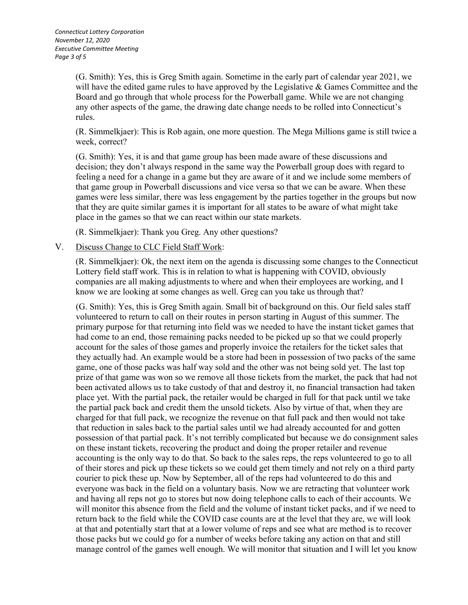(G. Smith): Yes, this is Greg Smith again. Sometime in the early part of calendar year 2021, we will have the edited game rules to have approved by the Legislative & Games Committee and the Board and go through that whole process for the Powerball game. While we are not changing any other aspects of the game, the drawing date change needs to be rolled into Connecticut's rules.

(R. Simmelkjaer): This is Rob again, one more question. The Mega Millions game is still twice a week, correct?

(G. Smith): Yes, it is and that game group has been made aware of these discussions and decision; they don't always respond in the same way the Powerball group does with regard to feeling a need for a change in a game but they are aware of it and we include some members of that game group in Powerball discussions and vice versa so that we can be aware. When these games were less similar, there was less engagement by the parties together in the groups but now that they are quite similar games it is important for all states to be aware of what might take place in the games so that we can react within our state markets.

(R. Simmelkjaer): Thank you Greg. Any other questions?

## V. Discuss Change to CLC Field Staff Work:

(R. Simmelkjaer): Ok, the next item on the agenda is discussing some changes to the Connecticut Lottery field staff work. This is in relation to what is happening with COVID, obviously companies are all making adjustments to where and when their employees are working, and I know we are looking at some changes as well. Greg can you take us through that?

(G. Smith): Yes, this is Greg Smith again. Small bit of background on this. Our field sales staff volunteered to return to call on their routes in person starting in August of this summer. The primary purpose for that returning into field was we needed to have the instant ticket games that had come to an end, those remaining packs needed to be picked up so that we could properly account for the sales of those games and properly invoice the retailers for the ticket sales that they actually had. An example would be a store had been in possession of two packs of the same game, one of those packs was half way sold and the other was not being sold yet. The last top prize of that game was won so we remove all those tickets from the market, the pack that had not been activated allows us to take custody of that and destroy it, no financial transaction had taken place yet. With the partial pack, the retailer would be charged in full for that pack until we take the partial pack back and credit them the unsold tickets. Also by virtue of that, when they are charged for that full pack, we recognize the revenue on that full pack and then would not take that reduction in sales back to the partial sales until we had already accounted for and gotten possession of that partial pack. It's not terribly complicated but because we do consignment sales on these instant tickets, recovering the product and doing the proper retailer and revenue accounting is the only way to do that. So back to the sales reps, the reps volunteered to go to all of their stores and pick up these tickets so we could get them timely and not rely on a third party courier to pick these up. Now by September, all of the reps had volunteered to do this and everyone was back in the field on a voluntary basis. Now we are retracting that volunteer work and having all reps not go to stores but now doing telephone calls to each of their accounts. We will monitor this absence from the field and the volume of instant ticket packs, and if we need to return back to the field while the COVID case counts are at the level that they are, we will look at that and potentially start that at a lower volume of reps and see what are method is to recover those packs but we could go for a number of weeks before taking any action on that and still manage control of the games well enough. We will monitor that situation and I will let you know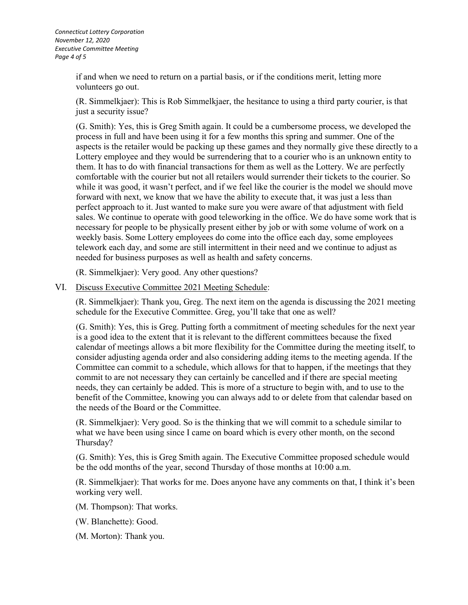*Connecticut Lottery Corporation November 12, 2020 Executive Committee Meeting Page 4 of 5*

> if and when we need to return on a partial basis, or if the conditions merit, letting more volunteers go out.

(R. Simmelkjaer): This is Rob Simmelkjaer, the hesitance to using a third party courier, is that just a security issue?

(G. Smith): Yes, this is Greg Smith again. It could be a cumbersome process, we developed the process in full and have been using it for a few months this spring and summer. One of the aspects is the retailer would be packing up these games and they normally give these directly to a Lottery employee and they would be surrendering that to a courier who is an unknown entity to them. It has to do with financial transactions for them as well as the Lottery. We are perfectly comfortable with the courier but not all retailers would surrender their tickets to the courier. So while it was good, it wasn't perfect, and if we feel like the courier is the model we should move forward with next, we know that we have the ability to execute that, it was just a less than perfect approach to it. Just wanted to make sure you were aware of that adjustment with field sales. We continue to operate with good teleworking in the office. We do have some work that is necessary for people to be physically present either by job or with some volume of work on a weekly basis. Some Lottery employees do come into the office each day, some employees telework each day, and some are still intermittent in their need and we continue to adjust as needed for business purposes as well as health and safety concerns.

(R. Simmelkjaer): Very good. Any other questions?

VI. Discuss Executive Committee 2021 Meeting Schedule:

(R. Simmelkjaer): Thank you, Greg. The next item on the agenda is discussing the 2021 meeting schedule for the Executive Committee. Greg, you'll take that one as well?

(G. Smith): Yes, this is Greg. Putting forth a commitment of meeting schedules for the next year is a good idea to the extent that it is relevant to the different committees because the fixed calendar of meetings allows a bit more flexibility for the Committee during the meeting itself, to consider adjusting agenda order and also considering adding items to the meeting agenda. If the Committee can commit to a schedule, which allows for that to happen, if the meetings that they commit to are not necessary they can certainly be cancelled and if there are special meeting needs, they can certainly be added. This is more of a structure to begin with, and to use to the benefit of the Committee, knowing you can always add to or delete from that calendar based on the needs of the Board or the Committee.

(R. Simmelkjaer): Very good. So is the thinking that we will commit to a schedule similar to what we have been using since I came on board which is every other month, on the second Thursday?

(G. Smith): Yes, this is Greg Smith again. The Executive Committee proposed schedule would be the odd months of the year, second Thursday of those months at 10:00 a.m.

(R. Simmelkjaer): That works for me. Does anyone have any comments on that, I think it's been working very well.

(M. Thompson): That works.

(W. Blanchette): Good.

(M. Morton): Thank you.